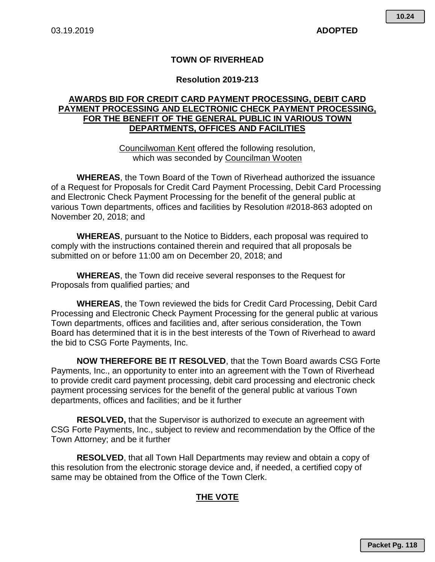## **TOWN OF RIVERHEAD**

## **Resolution 2019-213**

## **AWARDS BID FOR CREDIT CARD PAYMENT PROCESSING, DEBIT CARD PAYMENT PROCESSING AND ELECTRONIC CHECK PAYMENT PROCESSING, FOR THE BENEFIT OF THE GENERAL PUBLIC IN VARIOUS TOWN DEPARTMENTS, OFFICES AND FACILITIES**

Councilwoman Kent offered the following resolution, which was seconded by Councilman Wooten

**WHEREAS**, the Town Board of the Town of Riverhead authorized the issuance of a Request for Proposals for Credit Card Payment Processing, Debit Card Processing and Electronic Check Payment Processing for the benefit of the general public at various Town departments, offices and facilities by Resolution #2018-863 adopted on November 20, 2018; and

**WHEREAS**, pursuant to the Notice to Bidders, each proposal was required to comply with the instructions contained therein and required that all proposals be submitted on or before 11:00 am on December 20, 2018; and

**WHEREAS**, the Town did receive several responses to the Request for Proposals from qualified parties*;* and

**WHEREAS**, the Town reviewed the bids for Credit Card Processing, Debit Card Processing and Electronic Check Payment Processing for the general public at various Town departments, offices and facilities and, after serious consideration, the Town Board has determined that it is in the best interests of the Town of Riverhead to award the bid to CSG Forte Payments, Inc.

**NOW THEREFORE BE IT RESOLVED**, that the Town Board awards CSG Forte Payments, Inc., an opportunity to enter into an agreement with the Town of Riverhead to provide credit card payment processing, debit card processing and electronic check payment processing services for the benefit of the general public at various Town departments, offices and facilities; and be it further

**RESOLVED,** that the Supervisor is authorized to execute an agreement with CSG Forte Payments, Inc., subject to review and recommendation by the Office of the Town Attorney; and be it further

**RESOLVED**, that all Town Hall Departments may review and obtain a copy of this resolution from the electronic storage device and, if needed, a certified copy of same may be obtained from the Office of the Town Clerk.

## **THE VOTE**

**Packet Pg. 118**